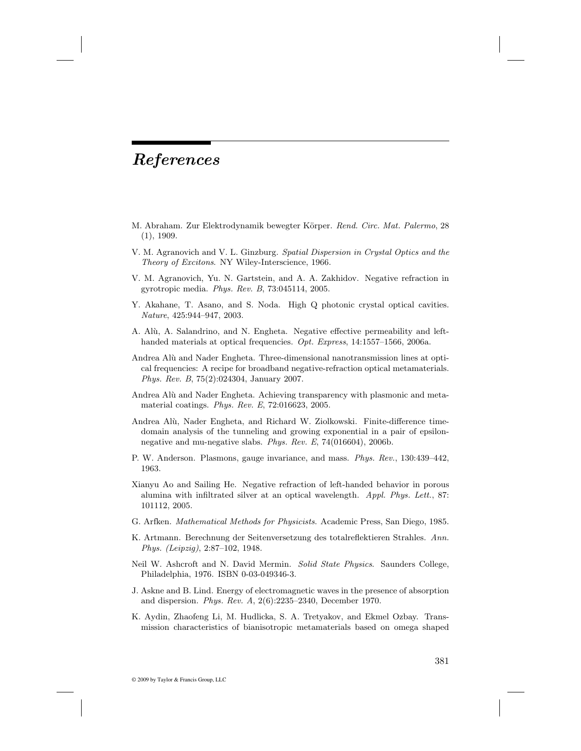## *References*

- M. Abraham. Zur Elektrodynamik bewegter Körper. Rend. Circ. Mat. Palermo, 28 (1), 1909.
- V. M. Agranovich and V. L. Ginzburg. Spatial Dispersion in Crystal Optics and the Theory of Excitons. NY Wiley-Interscience, 1966.
- V. M. Agranovich, Yu. N. Gartstein, and A. A. Zakhidov. Negative refraction in gyrotropic media. Phys. Rev. B, 73:045114, 2005.
- Y. Akahane, T. Asano, and S. Noda. High Q photonic crystal optical cavities. Nature, 425:944–947, 2003.
- A. Alù, A. Salandrino, and N. Engheta. Negative effective permeability and lefthanded materials at optical frequencies. Opt. Express, 14:1557–1566, 2006a.
- Andrea Alù and Nader Engheta. Three-dimensional nanotransmission lines at optical frequencies: A recipe for broadband negative-refraction optical metamaterials. Phys. Rev. B, 75(2):024304, January 2007.
- Andrea Alù and Nader Engheta. Achieving transparency with plasmonic and metamaterial coatings. Phys. Rev. E, 72:016623, 2005.
- Andrea Alù, Nader Engheta, and Richard W. Ziolkowski. Finite-difference timedomain analysis of the tunneling and growing exponential in a pair of epsilonnegative and mu-negative slabs. Phys. Rev. E, 74(016604), 2006b.
- P. W. Anderson. Plasmons, gauge invariance, and mass. Phys. Rev., 130:439–442, 1963.
- Xianyu Ao and Sailing He. Negative refraction of left-handed behavior in porous alumina with infiltrated silver at an optical wavelength. Appl. Phys. Lett., 87: 101112, 2005.
- G. Arfken. Mathematical Methods for Physicists. Academic Press, San Diego, 1985.
- K. Artmann. Berechnung der Seitenversetzung des totalreflektieren Strahles. Ann. Phys. (Leipzig), 2:87–102, 1948.
- Neil W. Ashcroft and N. David Mermin. Solid State Physics. Saunders College, Philadelphia, 1976. ISBN 0-03-049346-3.
- J. Askne and B. Lind. Energy of electromagnetic waves in the presence of absorption and dispersion. Phys. Rev. A, 2(6):2235–2340, December 1970.
- K. Aydin, Zhaofeng Li, M. Hudlicka, S. A. Tretyakov, and Ekmel Ozbay. Transmission characteristics of bianisotropic metamaterials based on omega shaped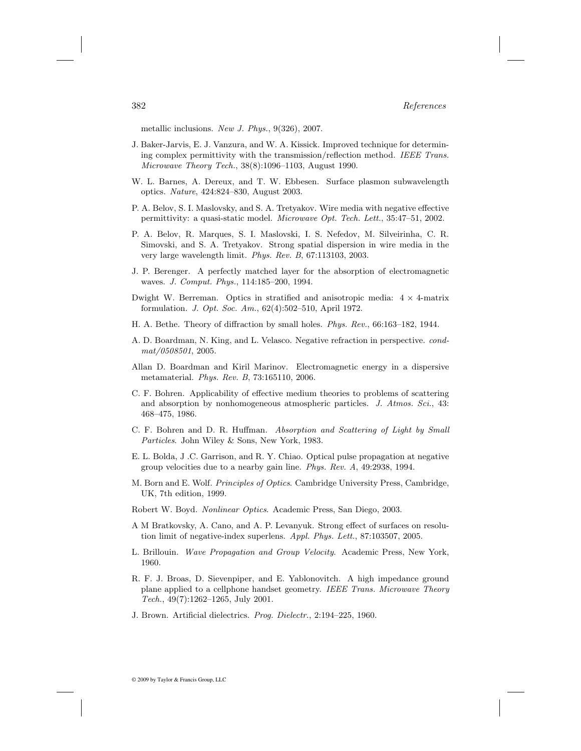metallic inclusions. New J. Phys., 9(326), 2007.

- J. Baker-Jarvis, E. J. Vanzura, and W. A. Kissick. Improved technique for determining complex permittivity with the transmission/reflection method. IEEE Trans. Microwave Theory Tech., 38(8):1096–1103, August 1990.
- W. L. Barnes, A. Dereux, and T. W. Ebbesen. Surface plasmon subwavelength optics. Nature, 424:824–830, August 2003.
- P. A. Belov, S. I. Maslovsky, and S. A. Tretyakov. Wire media with negative effective permittivity: a quasi-static model. Microwave Opt. Tech. Lett., 35:47–51, 2002.
- P. A. Belov, R. Marques, S. I. Maslovski, I. S. Nefedov, M. Silveirinha, C. R. Simovski, and S. A. Tretyakov. Strong spatial dispersion in wire media in the very large wavelength limit. Phys. Rev. B, 67:113103, 2003.
- J. P. Berenger. A perfectly matched layer for the absorption of electromagnetic waves. J. Comput. Phys., 114:185–200, 1994.
- Dwight W. Berreman. Optics in stratified and anisotropic media: 4 *×* 4-matrix formulation. J. Opt. Soc. Am., 62(4):502–510, April 1972.
- H. A. Bethe. Theory of diffraction by small holes. Phys. Rev., 66:163–182, 1944.
- A. D. Boardman, N. King, and L. Velasco. Negative refraction in perspective. condmat/0508501, 2005.
- Allan D. Boardman and Kiril Marinov. Electromagnetic energy in a dispersive metamaterial. Phys. Rev. B, 73:165110, 2006.
- C. F. Bohren. Applicability of effective medium theories to problems of scattering and absorption by nonhomogeneous atmospheric particles. J. Atmos. Sci., 43: 468–475, 1986.
- C. F. Bohren and D. R. Huffman. Absorption and Scattering of Light by Small Particles. John Wiley & Sons, New York, 1983.
- E. L. Bolda, J .C. Garrison, and R. Y. Chiao. Optical pulse propagation at negative group velocities due to a nearby gain line. Phys. Rev. A, 49:2938, 1994.
- M. Born and E. Wolf. Principles of Optics. Cambridge University Press, Cambridge, UK, 7th edition, 1999.
- Robert W. Boyd. Nonlinear Optics. Academic Press, San Diego, 2003.
- A M Bratkovsky, A. Cano, and A. P. Levanyuk. Strong effect of surfaces on resolution limit of negative-index superlens. Appl. Phys. Lett., 87:103507, 2005.
- L. Brillouin. Wave Propagation and Group Velocity. Academic Press, New York, 1960.
- R. F. J. Broas, D. Sievenpiper, and E. Yablonovitch. A high impedance ground plane applied to a cellphone handset geometry. IEEE Trans. Microwave Theory Tech., 49(7):1262–1265, July 2001.
- J. Brown. Artificial dielectrics. Prog. Dielectr., 2:194–225, 1960.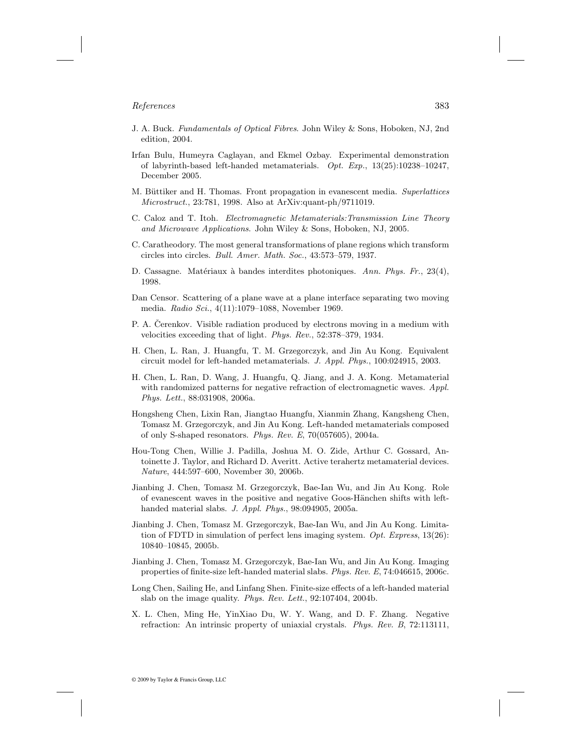- J. A. Buck. Fundamentals of Optical Fibres. John Wiley & Sons, Hoboken, NJ, 2nd edition, 2004.
- Irfan Bulu, Humeyra Caglayan, and Ekmel Ozbay. Experimental demonstration of labyrinth-based left-handed metamaterials. Opt. Exp., 13(25):10238–10247, December 2005.
- M. Büttiker and H. Thomas. Front propagation in evanescent media. Superlattices Microstruct., 23:781, 1998. Also at ArXiv:quant-ph/9711019.
- C. Caloz and T. Itoh. Electromagnetic Metamaterials:Transmission Line Theory and Microwave Applications. John Wiley & Sons, Hoboken, NJ, 2005.
- C. Caratheodory. The most general transformations of plane regions which transform circles into circles. Bull. Amer. Math. Soc., 43:573–579, 1937.
- D. Cassagne. Matériaux à bandes interdites photoniques. Ann. Phys. Fr., 23(4), 1998.
- Dan Censor. Scattering of a plane wave at a plane interface separating two moving media. Radio Sci., 4(11):1079–1088, November 1969.
- P. A. Cerenkov. Visible radiation produced by electrons moving in a medium with velocities exceeding that of light. Phys. Rev., 52:378–379, 1934.
- H. Chen, L. Ran, J. Huangfu, T. M. Grzegorczyk, and Jin Au Kong. Equivalent circuit model for left-handed metamaterials. J. Appl. Phys., 100:024915, 2003.
- H. Chen, L. Ran, D. Wang, J. Huangfu, Q. Jiang, and J. A. Kong. Metamaterial with randomized patterns for negative refraction of electromagnetic waves. Appl. Phys. Lett., 88:031908, 2006a.
- Hongsheng Chen, Lixin Ran, Jiangtao Huangfu, Xianmin Zhang, Kangsheng Chen, Tomasz M. Grzegorczyk, and Jin Au Kong. Left-handed metamaterials composed of only S-shaped resonators. Phys. Rev. E, 70(057605), 2004a.
- Hou-Tong Chen, Willie J. Padilla, Joshua M. O. Zide, Arthur C. Gossard, Antoinette J. Taylor, and Richard D. Averitt. Active terahertz metamaterial devices. Nature, 444:597–600, November 30, 2006b.
- Jianbing J. Chen, Tomasz M. Grzegorczyk, Bae-Ian Wu, and Jin Au Kong. Role of evanescent waves in the positive and negative Goos-Hänchen shifts with lefthanded material slabs. J. Appl. Phys., 98:094905, 2005a.
- Jianbing J. Chen, Tomasz M. Grzegorczyk, Bae-Ian Wu, and Jin Au Kong. Limitation of FDTD in simulation of perfect lens imaging system. Opt. Express, 13(26): 10840–10845, 2005b.
- Jianbing J. Chen, Tomasz M. Grzegorczyk, Bae-Ian Wu, and Jin Au Kong. Imaging properties of finite-size left-handed material slabs. Phys. Rev. E, 74:046615, 2006c.
- Long Chen, Sailing He, and Linfang Shen. Finite-size effects of a left-handed material slab on the image quality. Phys. Rev. Lett., 92:107404, 2004b.
- X. L. Chen, Ming He, YinXiao Du, W. Y. Wang, and D. F. Zhang. Negative refraction: An intrinsic property of uniaxial crystals. Phys. Rev. B, 72:113111,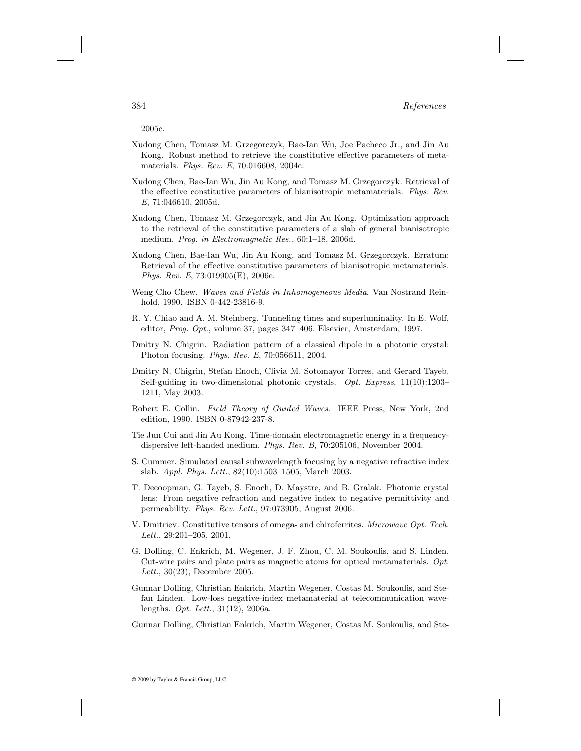2005c.

- Xudong Chen, Tomasz M. Grzegorczyk, Bae-Ian Wu, Joe Pacheco Jr., and Jin Au Kong. Robust method to retrieve the constitutive effective parameters of metamaterials. Phys. Rev. E, 70:016608, 2004c.
- Xudong Chen, Bae-Ian Wu, Jin Au Kong, and Tomasz M. Grzegorczyk. Retrieval of the effective constitutive parameters of bianisotropic metamaterials. Phys. Rev. E, 71:046610, 2005d.
- Xudong Chen, Tomasz M. Grzegorczyk, and Jin Au Kong. Optimization approach to the retrieval of the constitutive parameters of a slab of general bianisotropic medium. Prog. in Electromagnetic Res., 60:1–18, 2006d.
- Xudong Chen, Bae-Ian Wu, Jin Au Kong, and Tomasz M. Grzegorczyk. Erratum: Retrieval of the effective constitutive parameters of bianisotropic metamaterials. Phys. Rev. E, 73:019905(E), 2006e.
- Weng Cho Chew. Waves and Fields in Inhomogeneous Media. Van Nostrand Reinhold, 1990. ISBN 0-442-23816-9.
- R. Y. Chiao and A. M. Steinberg. Tunneling times and superluminality. In E. Wolf, editor, Prog. Opt., volume 37, pages 347–406. Elsevier, Amsterdam, 1997.
- Dmitry N. Chigrin. Radiation pattern of a classical dipole in a photonic crystal: Photon focusing. Phys. Rev. E, 70:056611, 2004.
- Dmitry N. Chigrin, Stefan Enoch, Clivia M. Sotomayor Torres, and Gerard Tayeb. Self-guiding in two-dimensional photonic crystals. Opt. Express, 11(10):1203– 1211, May 2003.
- Robert E. Collin. Field Theory of Guided Waves. IEEE Press, New York, 2nd edition, 1990. ISBN 0-87942-237-8.
- Tie Jun Cui and Jin Au Kong. Time-domain electromagnetic energy in a frequencydispersive left-handed medium. Phys. Rev. B, 70:205106, November 2004.
- S. Cummer. Simulated causal subwavelength focusing by a negative refractive index slab. Appl. Phys. Lett., 82(10):1503–1505, March 2003.
- T. Decoopman, G. Tayeb, S. Enoch, D. Maystre, and B. Gralak. Photonic crystal lens: From negative refraction and negative index to negative permittivity and permeability. Phys. Rev. Lett., 97:073905, August 2006.
- V. Dmitriev. Constitutive tensors of omega- and chiroferrites. Microwave Opt. Tech. Lett., 29:201–205, 2001.
- G. Dolling, C. Enkrich, M. Wegener, J. F. Zhou, C. M. Soukoulis, and S. Linden. Cut-wire pairs and plate pairs as magnetic atoms for optical metamaterials. Opt. Lett., 30(23), December 2005.
- Gunnar Dolling, Christian Enkrich, Martin Wegener, Costas M. Soukoulis, and Stefan Linden. Low-loss negative-index metamaterial at telecommunication wavelengths. Opt. Lett., 31(12), 2006a.

Gunnar Dolling, Christian Enkrich, Martin Wegener, Costas M. Soukoulis, and Ste-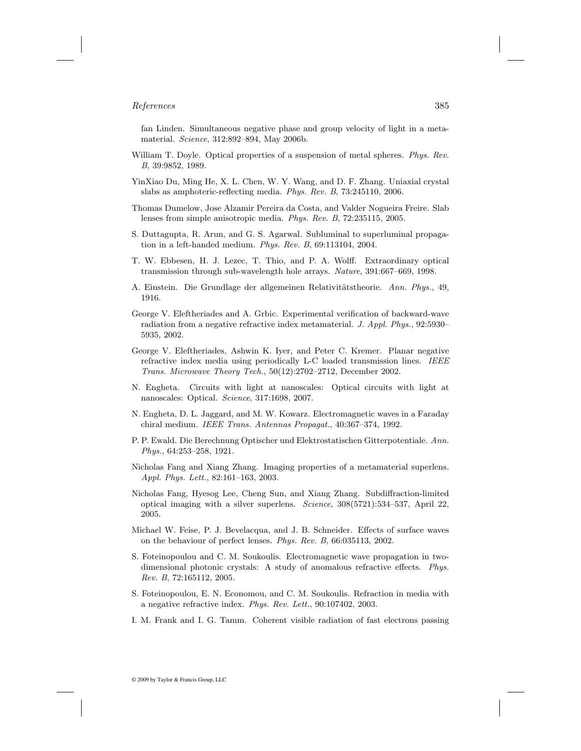fan Linden. Simultaneous negative phase and group velocity of light in a metamaterial. Science, 312:892–894, May 2006b.

- William T. Doyle. Optical properties of a suspension of metal spheres. Phys. Rev. B, 39:9852, 1989.
- YinXiao Du, Ming He, X. L. Chen, W. Y. Wang, and D. F. Zhang. Uniaxial crystal slabs as amphoteric-reflecting media. Phys. Rev. B, 73:245110, 2006.
- Thomas Dumelow, Jose Alzamir Pereira da Costa, and Valder Nogueira Freire. Slab lenses from simple anisotropic media. Phys. Rev. B, 72:235115, 2005.
- S. Duttagupta, R. Arun, and G. S. Agarwal. Subluminal to superluminal propagation in a left-handed medium. Phys. Rev. B, 69:113104, 2004.
- T. W. Ebbesen, H. J. Lezec, T. Thio, and P. A. Wolff. Extraordinary optical transmission through sub-wavelength hole arrays. Nature, 391:667–669, 1998.
- A. Einstein. Die Grundlage der allgemeinen Relativitätstheorie. Ann. Phys., 49, 1916.
- George V. Eleftheriades and A. Grbic. Experimental verification of backward-wave radiation from a negative refractive index metamaterial. J. Appl. Phys., 92:5930– 5935, 2002.
- George V. Eleftheriades, Ashwin K. Iyer, and Peter C. Kremer. Planar negative refractive index media using periodically L-C loaded transmission lines. IEEE Trans. Microwave Theory Tech., 50(12):2702–2712, December 2002.
- N. Engheta. Circuits with light at nanoscales: Optical circuits with light at nanoscales: Optical. Science, 317:1698, 2007.
- N. Engheta, D. L. Jaggard, and M. W. Kowarz. Electromagnetic waves in a Faraday chiral medium. IEEE Trans. Antennas Propagat., 40:367–374, 1992.
- P. P. Ewald. Die Berechnung Optischer und Elektrostatischen Gitterpotentiale. Ann. Phys., 64:253–258, 1921.
- Nicholas Fang and Xiang Zhang. Imaging properties of a metamaterial superlens. Appl. Phys. Lett., 82:161–163, 2003.
- Nicholas Fang, Hyesog Lee, Cheng Sun, and Xiang Zhang. Subdiffraction-limited optical imaging with a silver superlens. Science, 308(5721):534–537, April 22, 2005.
- Michael W. Feise, P. J. Bevelacqua, and J. B. Schneider. Effects of surface waves on the behaviour of perfect lenses. Phys. Rev. B, 66:035113, 2002.
- S. Foteinopoulou and C. M. Soukoulis. Electromagnetic wave propagation in twodimensional photonic crystals: A study of anomalous refractive effects. Phys. Rev. B, 72:165112, 2005.
- S. Foteinopoulou, E. N. Economou, and C. M. Soukoulis. Refraction in media with a negative refractive index. Phys. Rev. Lett., 90:107402, 2003.
- I. M. Frank and I. G. Tamm. Coherent visible radiation of fast electrons passing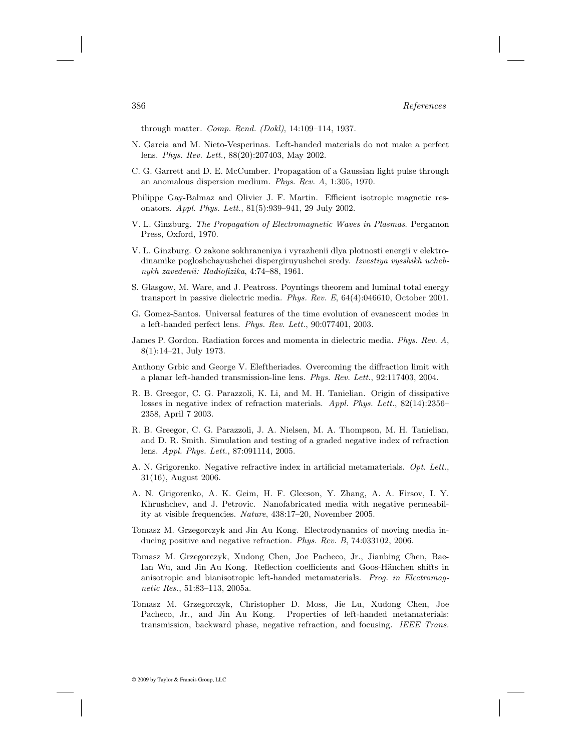through matter. Comp. Rend. (Dokl), 14:109–114, 1937.

- N. Garcia and M. Nieto-Vesperinas. Left-handed materials do not make a perfect lens. Phys. Rev. Lett., 88(20):207403, May 2002.
- C. G. Garrett and D. E. McCumber. Propagation of a Gaussian light pulse through an anomalous dispersion medium. Phys. Rev. A, 1:305, 1970.
- Philippe Gay-Balmaz and Olivier J. F. Martin. Efficient isotropic magnetic resonators. Appl. Phys. Lett., 81(5):939–941, 29 July 2002.
- V. L. Ginzburg. The Propagation of Electromagnetic Waves in Plasmas. Pergamon Press, Oxford, 1970.
- V. L. Ginzburg. O zakone sokhraneniya i vyrazhenii dlya plotnosti energii v elektrodinamike pogloshchayushchei dispergiruyushchei sredy. Izvestiya vysshikh uchebnykh zavedenii: Radiofizika, 4:74–88, 1961.
- S. Glasgow, M. Ware, and J. Peatross. Poyntings theorem and luminal total energy transport in passive dielectric media. Phys. Rev. E, 64(4):046610, October 2001.
- G. Gomez-Santos. Universal features of the time evolution of evanescent modes in a left-handed perfect lens. Phys. Rev. Lett., 90:077401, 2003.
- James P. Gordon. Radiation forces and momenta in dielectric media. Phys. Rev. A, 8(1):14–21, July 1973.
- Anthony Grbic and George V. Eleftheriades. Overcoming the diffraction limit with a planar left-handed transmission-line lens. Phys. Rev. Lett., 92:117403, 2004.
- R. B. Greegor, C. G. Parazzoli, K. Li, and M. H. Tanielian. Origin of dissipative losses in negative index of refraction materials. Appl. Phys. Lett., 82(14):2356– 2358, April 7 2003.
- R. B. Greegor, C. G. Parazzoli, J. A. Nielsen, M. A. Thompson, M. H. Tanielian, and D. R. Smith. Simulation and testing of a graded negative index of refraction lens. Appl. Phys. Lett., 87:091114, 2005.
- A. N. Grigorenko. Negative refractive index in artificial metamaterials. Opt. Lett., 31(16), August 2006.
- A. N. Grigorenko, A. K. Geim, H. F. Gleeson, Y. Zhang, A. A. Firsov, I. Y. Khrushchev, and J. Petrovic. Nanofabricated media with negative permeability at visible frequencies. Nature, 438:17–20, November 2005.
- Tomasz M. Grzegorczyk and Jin Au Kong. Electrodynamics of moving media inducing positive and negative refraction. Phys. Rev. B, 74:033102, 2006.
- Tomasz M. Grzegorczyk, Xudong Chen, Joe Pacheco, Jr., Jianbing Chen, Bae-Ian Wu, and Jin Au Kong. Reflection coefficients and Goos-Hänchen shifts in anisotropic and bianisotropic left-handed metamaterials. Prog. in Electromagnetic Res., 51:83–113, 2005a.
- Tomasz M. Grzegorczyk, Christopher D. Moss, Jie Lu, Xudong Chen, Joe Pacheco, Jr., and Jin Au Kong. Properties of left-handed metamaterials: transmission, backward phase, negative refraction, and focusing. IEEE Trans.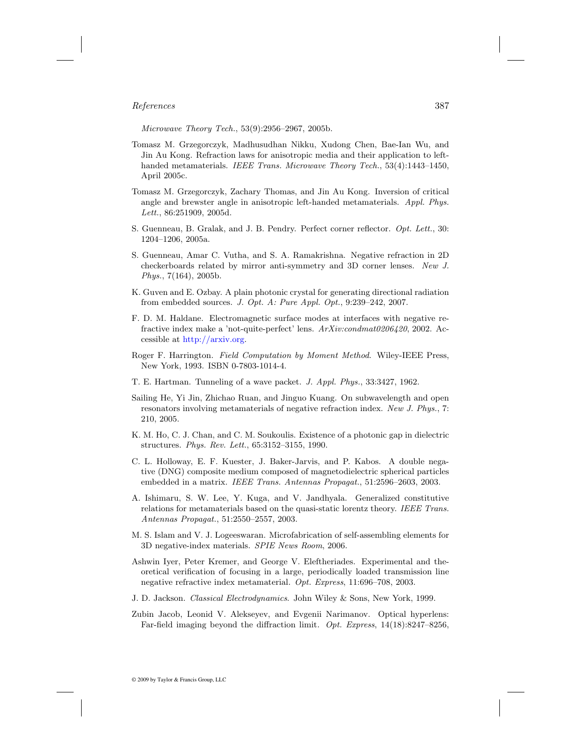Microwave Theory Tech., 53(9):2956–2967, 2005b.

- Tomasz M. Grzegorczyk, Madhusudhan Nikku, Xudong Chen, Bae-Ian Wu, and Jin Au Kong. Refraction laws for anisotropic media and their application to lefthanded metamaterials. IEEE Trans. Microwave Theory Tech., 53(4):1443-1450. April 2005c.
- Tomasz M. Grzegorczyk, Zachary Thomas, and Jin Au Kong. Inversion of critical angle and brewster angle in anisotropic left-handed metamaterials. Appl. Phys. Lett., 86:251909, 2005d.
- S. Guenneau, B. Gralak, and J. B. Pendry. Perfect corner reflector. *Opt. Lett.*, 30: 1204–1206, 2005a.
- S. Guenneau, Amar C. Vutha, and S. A. Ramakrishna. Negative refraction in 2D checkerboards related by mirror anti-symmetry and 3D corner lenses. New J. Phys., 7(164), 2005b.
- K. Guven and E. Ozbay. A plain photonic crystal for generating directional radiation from embedded sources. J. Opt. A: Pure Appl. Opt., 9:239–242, 2007.
- F. D. M. Haldane. Electromagnetic surface modes at interfaces with negative refractive index make a 'not-quite-perfect' lens. ArXiv:condmat0206420, 2002. Accessible at [http://arxiv.org.](http://arxiv.org)
- Roger F. Harrington. Field Computation by Moment Method. Wiley-IEEE Press, New York, 1993. ISBN 0-7803-1014-4.
- T. E. Hartman. Tunneling of a wave packet. J. Appl. Phys., 33:3427, 1962.
- Sailing He, Yi Jin, Zhichao Ruan, and Jinguo Kuang. On subwavelength and open resonators involving metamaterials of negative refraction index. New J. Phys., 7: 210, 2005.
- K. M. Ho, C. J. Chan, and C. M. Soukoulis. Existence of a photonic gap in dielectric structures. Phys. Rev. Lett., 65:3152–3155, 1990.
- C. L. Holloway, E. F. Kuester, J. Baker-Jarvis, and P. Kabos. A double negative (DNG) composite medium composed of magnetodielectric spherical particles embedded in a matrix. IEEE Trans. Antennas Propagat., 51:2596–2603, 2003.
- A. Ishimaru, S. W. Lee, Y. Kuga, and V. Jandhyala. Generalized constitutive relations for metamaterials based on the quasi-static lorentz theory. IEEE Trans. Antennas Propagat., 51:2550–2557, 2003.
- M. S. Islam and V. J. Logeeswaran. Microfabrication of self-assembling elements for 3D negative-index materials. SPIE News Room, 2006.
- Ashwin Iyer, Peter Kremer, and George V. Eleftheriades. Experimental and theoretical verification of focusing in a large, periodically loaded transmission line negative refractive index metamaterial. Opt. Express, 11:696–708, 2003.
- J. D. Jackson. Classical Electrodynamics. John Wiley & Sons, New York, 1999.
- Zubin Jacob, Leonid V. Alekseyev, and Evgenii Narimanov. Optical hyperlens: Far-field imaging beyond the diffraction limit. Opt. Express, 14(18):8247–8256,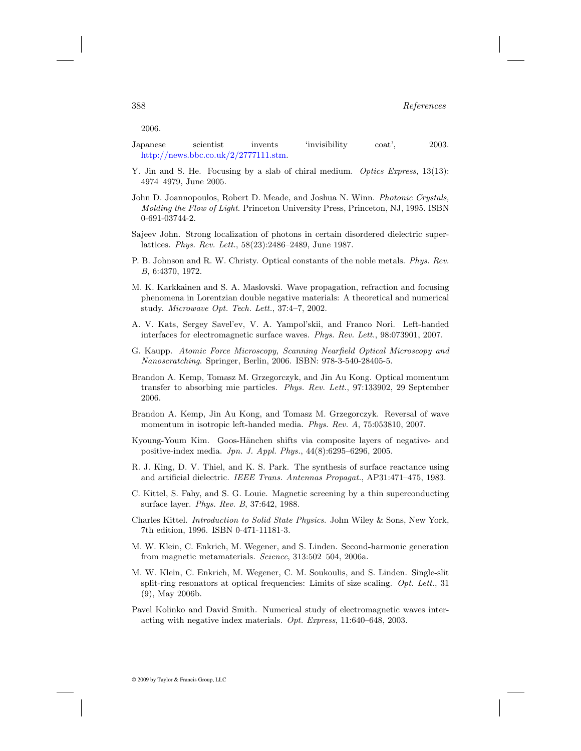2006.

Japanese scientist invents 'invisibility coat', 2003. [http://news.bbc.co.uk/2/2777111.stm](http://news.bbc.co.uk).

- Y. Jin and S. He. Focusing by a slab of chiral medium. *Optics Express*, 13(13): 4974–4979, June 2005.
- John D. Joannopoulos, Robert D. Meade, and Joshua N. Winn. Photonic Crystals, Molding the Flow of Light. Princeton University Press, Princeton, NJ, 1995. ISBN 0-691-03744-2.
- Sajeev John. Strong localization of photons in certain disordered dielectric superlattices. Phys. Rev. Lett., 58(23):2486–2489, June 1987.
- P. B. Johnson and R. W. Christy. Optical constants of the noble metals. Phys. Rev. B, 6:4370, 1972.
- M. K. Karkkainen and S. A. Maslovski. Wave propagation, refraction and focusing phenomena in Lorentzian double negative materials: A theoretical and numerical study. Microwave Opt. Tech. Lett., 37:4–7, 2002.
- A. V. Kats, Sergey Savel'ev, V. A. Yampol'skii, and Franco Nori. Left-handed interfaces for electromagnetic surface waves. Phys. Rev. Lett., 98:073901, 2007.
- G. Kaupp. Atomic Force Microscopy, Scanning Nearfield Optical Microscopy and Nanoscratching. Springer, Berlin, 2006. ISBN: 978-3-540-28405-5.
- Brandon A. Kemp, Tomasz M. Grzegorczyk, and Jin Au Kong. Optical momentum transfer to absorbing mie particles. Phys. Rev. Lett., 97:133902, 29 September 2006.
- Brandon A. Kemp, Jin Au Kong, and Tomasz M. Grzegorczyk. Reversal of wave momentum in isotropic left-handed media. Phys. Rev. A, 75:053810, 2007.
- Kyoung-Youm Kim. Goos-Hänchen shifts via composite layers of negative- and positive-index media. Jpn. J. Appl. Phys., 44(8):6295–6296, 2005.
- R. J. King, D. V. Thiel, and K. S. Park. The synthesis of surface reactance using and artificial dielectric. IEEE Trans. Antennas Propagat., AP31:471–475, 1983.
- C. Kittel, S. Fahy, and S. G. Louie. Magnetic screening by a thin superconducting surface layer. Phys. Rev. B, 37:642, 1988.
- Charles Kittel. Introduction to Solid State Physics. John Wiley & Sons, New York, 7th edition, 1996. ISBN 0-471-11181-3.
- M. W. Klein, C. Enkrich, M. Wegener, and S. Linden. Second-harmonic generation from magnetic metamaterials. Science, 313:502–504, 2006a.
- M. W. Klein, C. Enkrich, M. Wegener, C. M. Soukoulis, and S. Linden. Single-slit split-ring resonators at optical frequencies: Limits of size scaling. Opt. Lett., 31 (9), May 2006b.
- Pavel Kolinko and David Smith. Numerical study of electromagnetic waves interacting with negative index materials. Opt. Express, 11:640–648, 2003.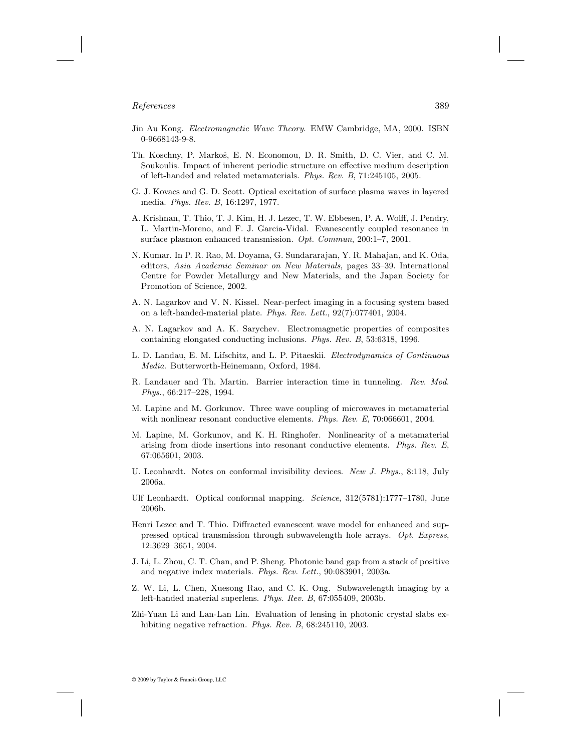- Jin Au Kong. Electromagnetic Wave Theory. EMW Cambridge, MA, 2000. ISBN 0-9668143-9-8.
- Th. Koschny, P. Markoš, E. N. Economou, D. R. Smith, D. C. Vier, and C. M. Soukoulis. Impact of inherent periodic structure on effective medium description of left-handed and related metamaterials. Phys. Rev. B, 71:245105, 2005.
- G. J. Kovacs and G. D. Scott. Optical excitation of surface plasma waves in layered media. Phys. Rev. B, 16:1297, 1977.
- A. Krishnan, T. Thio, T. J. Kim, H. J. Lezec, T. W. Ebbesen, P. A. Wolff, J. Pendry, L. Martin-Moreno, and F. J. Garcia-Vidal. Evanescently coupled resonance in surface plasmon enhanced transmission. Opt. Commun, 200:1–7, 2001.
- N. Kumar. In P. R. Rao, M. Doyama, G. Sundararajan, Y. R. Mahajan, and K. Oda, editors, Asia Academic Seminar on New Materials, pages 33–39. International Centre for Powder Metallurgy and New Materials, and the Japan Society for Promotion of Science, 2002.
- A. N. Lagarkov and V. N. Kissel. Near-perfect imaging in a focusing system based on a left-handed-material plate. Phys. Rev. Lett., 92(7):077401, 2004.
- A. N. Lagarkov and A. K. Sarychev. Electromagnetic properties of composites containing elongated conducting inclusions. Phys. Rev. B, 53:6318, 1996.
- L. D. Landau, E. M. Lifschitz, and L. P. Pitaeskii. Electrodynamics of Continuous Media. Butterworth-Heinemann, Oxford, 1984.
- R. Landauer and Th. Martin. Barrier interaction time in tunneling. Rev. Mod. Phys., 66:217–228, 1994.
- M. Lapine and M. Gorkunov. Three wave coupling of microwaves in metamaterial with nonlinear resonant conductive elements. Phys. Rev. E, 70:066601, 2004.
- M. Lapine, M. Gorkunov, and K. H. Ringhofer. Nonlinearity of a metamaterial arising from diode insertions into resonant conductive elements. Phys. Rev. E, 67:065601, 2003.
- U. Leonhardt. Notes on conformal invisibility devices. New J. Phys., 8:118, July 2006a.
- Ulf Leonhardt. Optical conformal mapping. Science, 312(5781):1777–1780, June 2006b.
- Henri Lezec and T. Thio. Diffracted evanescent wave model for enhanced and suppressed optical transmission through subwavelength hole arrays. Opt. Express, 12:3629–3651, 2004.
- J. Li, L. Zhou, C. T. Chan, and P. Sheng. Photonic band gap from a stack of positive and negative index materials. Phys. Rev. Lett., 90:083901, 2003a.
- Z. W. Li, L. Chen, Xuesong Rao, and C. K. Ong. Subwavelength imaging by a left-handed material superlens. Phys. Rev. B, 67:055409, 2003b.
- Zhi-Yuan Li and Lan-Lan Lin. Evaluation of lensing in photonic crystal slabs exhibiting negative refraction. Phys. Rev. B, 68:245110, 2003.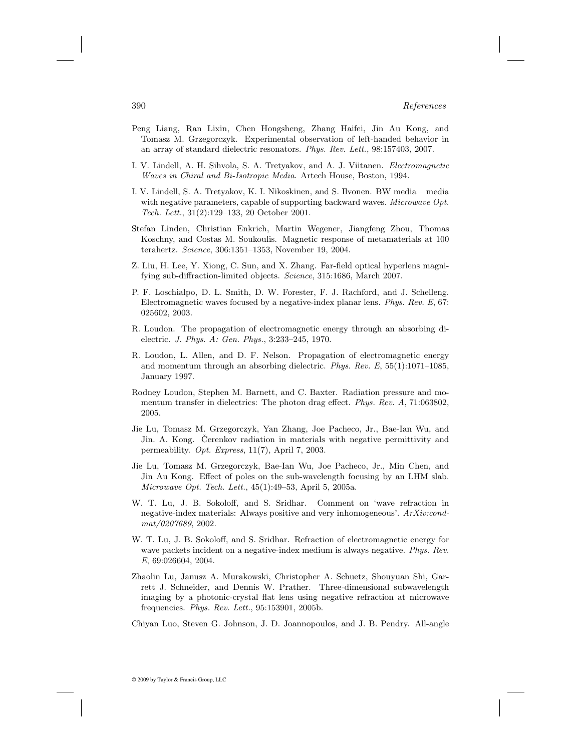- Peng Liang, Ran Lixin, Chen Hongsheng, Zhang Haifei, Jin Au Kong, and Tomasz M. Grzegorczyk. Experimental observation of left-handed behavior in an array of standard dielectric resonators. Phys. Rev. Lett., 98:157403, 2007.
- I. V. Lindell, A. H. Sihvola, S. A. Tretyakov, and A. J. Viitanen. Electromagnetic Waves in Chiral and Bi-Isotropic Media. Artech House, Boston, 1994.
- I. V. Lindell, S. A. Tretyakov, K. I. Nikoskinen, and S. Ilvonen. BW media media with negative parameters, capable of supporting backward waves. *Microwave Opt.* Tech. Lett., 31(2):129–133, 20 October 2001.
- Stefan Linden, Christian Enkrich, Martin Wegener, Jiangfeng Zhou, Thomas Koschny, and Costas M. Soukoulis. Magnetic response of metamaterials at 100 terahertz. Science, 306:1351–1353, November 19, 2004.
- Z. Liu, H. Lee, Y. Xiong, C. Sun, and X. Zhang. Far-field optical hyperlens magnifying sub-diffraction-limited objects. Science, 315:1686, March 2007.
- P. F. Loschialpo, D. L. Smith, D. W. Forester, F. J. Rachford, and J. Schelleng. Electromagnetic waves focused by a negative-index planar lens. Phys. Rev. E, 67: 025602, 2003.
- R. Loudon. The propagation of electromagnetic energy through an absorbing dielectric. J. Phys. A: Gen. Phys., 3:233–245, 1970.
- R. Loudon, L. Allen, and D. F. Nelson. Propagation of electromagnetic energy and momentum through an absorbing dielectric. Phys. Rev.  $E$ , 55(1):1071-1085, January 1997.
- Rodney Loudon, Stephen M. Barnett, and C. Baxter. Radiation pressure and momentum transfer in dielectrics: The photon drag effect. Phys. Rev. A, 71:063802, 2005.
- Jie Lu, Tomasz M. Grzegorczyk, Yan Zhang, Joe Pacheco, Jr., Bae-Ian Wu, and Jin. A. Kong. Cerenkov radiation in materials with negative permittivity and permeability. Opt. Express, 11(7), April 7, 2003.
- Jie Lu, Tomasz M. Grzegorczyk, Bae-Ian Wu, Joe Pacheco, Jr., Min Chen, and Jin Au Kong. Effect of poles on the sub-wavelength focusing by an LHM slab. Microwave Opt. Tech. Lett., 45(1):49–53, April 5, 2005a.
- W. T. Lu, J. B. Sokoloff, and S. Sridhar. Comment on 'wave refraction in negative-index materials: Always positive and very inhomogeneous'. ArXiv:condmat/0207689, 2002.
- W. T. Lu, J. B. Sokoloff, and S. Sridhar. Refraction of electromagnetic energy for wave packets incident on a negative-index medium is always negative. *Phys. Rev.* E, 69:026604, 2004.
- Zhaolin Lu, Janusz A. Murakowski, Christopher A. Schuetz, Shouyuan Shi, Garrett J. Schneider, and Dennis W. Prather. Three-dimensional subwavelength imaging by a photonic-crystal flat lens using negative refraction at microwave frequencies. Phys. Rev. Lett., 95:153901, 2005b.

Chiyan Luo, Steven G. Johnson, J. D. Joannopoulos, and J. B. Pendry. All-angle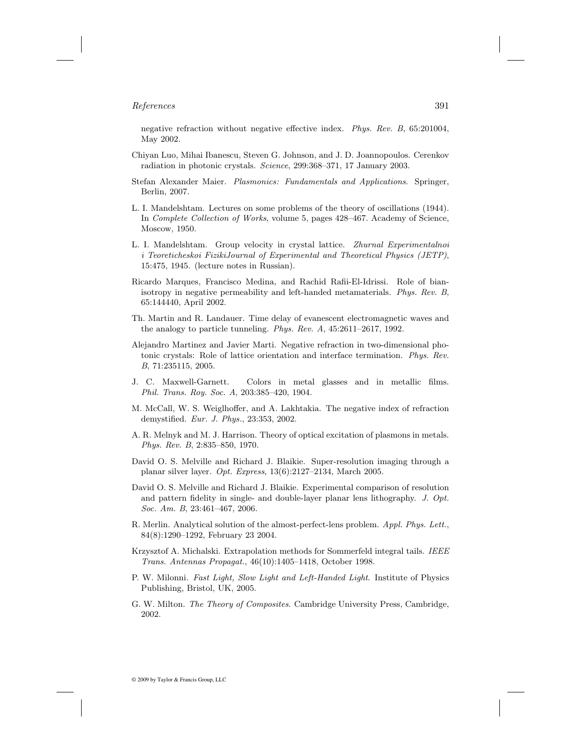negative refraction without negative effective index. Phys. Rev. B, 65:201004, May 2002.

- Chiyan Luo, Mihai Ibanescu, Steven G. Johnson, and J. D. Joannopoulos. Cerenkov radiation in photonic crystals. Science, 299:368–371, 17 January 2003.
- Stefan Alexander Maier. Plasmonics: Fundamentals and Applications. Springer, Berlin, 2007.
- L. I. Mandelshtam. Lectures on some problems of the theory of oscillations (1944). In Complete Collection of Works, volume 5, pages 428–467. Academy of Science, Moscow, 1950.
- L. I. Mandelshtam. Group velocity in crystal lattice. Zhurnal Experimentalnoi i Teoreticheskoi FizikiJournal of Experimental and Theoretical Physics (JETP), 15:475, 1945. (lecture notes in Russian).
- Ricardo Marques, Francisco Medina, and Rachid Rafii-El-Idrissi. Role of bianisotropy in negative permeability and left-handed metamaterials. Phys. Rev. B, 65:144440, April 2002.
- Th. Martin and R. Landauer. Time delay of evanescent electromagnetic waves and the analogy to particle tunneling. Phys. Rev. A, 45:2611–2617, 1992.
- Alejandro Martinez and Javier Marti. Negative refraction in two-dimensional photonic crystals: Role of lattice orientation and interface termination. Phys. Rev. B, 71:235115, 2005.
- J. C. Maxwell-Garnett. Colors in metal glasses and in metallic films. Phil. Trans. Roy. Soc. A, 203:385–420, 1904.
- M. McCall, W. S. Weiglhoffer, and A. Lakhtakia. The negative index of refraction demystified. Eur. J. Phys., 23:353, 2002.
- A. R. Melnyk and M. J. Harrison. Theory of optical excitation of plasmons in metals. Phys. Rev. B, 2:835–850, 1970.
- David O. S. Melville and Richard J. Blaikie. Super-resolution imaging through a planar silver layer. Opt. Express, 13(6):2127–2134, March 2005.
- David O. S. Melville and Richard J. Blaikie. Experimental comparison of resolution and pattern fidelity in single- and double-layer planar lens lithography. J. Opt. Soc. Am. B, 23:461–467, 2006.
- R. Merlin. Analytical solution of the almost-perfect-lens problem. Appl. Phys. Lett., 84(8):1290–1292, February 23 2004.
- Krzysztof A. Michalski. Extrapolation methods for Sommerfeld integral tails. IEEE Trans. Antennas Propagat., 46(10):1405–1418, October 1998.
- P. W. Milonni. Fast Light, Slow Light and Left-Handed Light. Institute of Physics Publishing, Bristol, UK, 2005.
- G. W. Milton. The Theory of Composites. Cambridge University Press, Cambridge, 2002.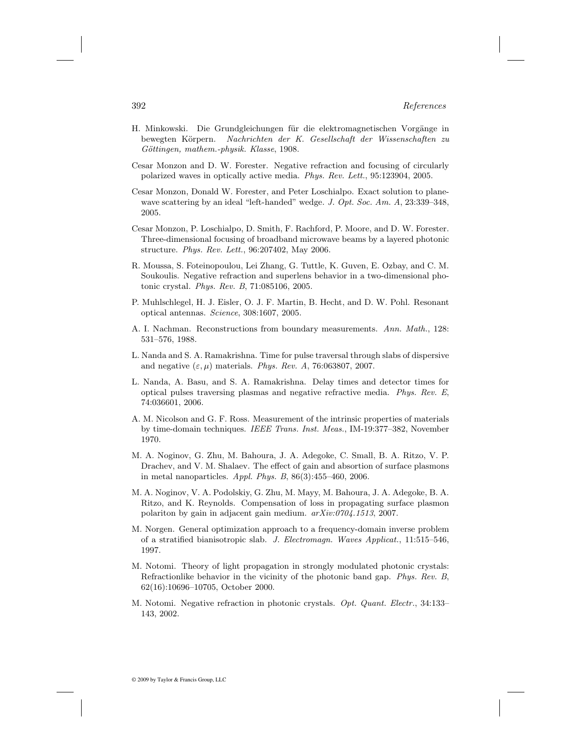- H. Minkowski. Die Grundgleichungen für die elektromagnetischen Vorgänge in bewegten Körpern. Nachrichten der K. Gesellschaft der Wissenschaften zu Göttingen, mathem.-physik. Klasse, 1908.
- Cesar Monzon and D. W. Forester. Negative refraction and focusing of circularly polarized waves in optically active media. Phys. Rev. Lett., 95:123904, 2005.
- Cesar Monzon, Donald W. Forester, and Peter Loschialpo. Exact solution to planewave scattering by an ideal "left-handed" wedge. J. Opt. Soc. Am. A, 23:339–348, 2005.
- Cesar Monzon, P. Loschialpo, D. Smith, F. Rachford, P. Moore, and D. W. Forester. Three-dimensional focusing of broadband microwave beams by a layered photonic structure. Phys. Rev. Lett., 96:207402, May 2006.
- R. Moussa, S. Foteinopoulou, Lei Zhang, G. Tuttle, K. Guven, E. Ozbay, and C. M. Soukoulis. Negative refraction and superlens behavior in a two-dimensional photonic crystal. Phys. Rev. B, 71:085106, 2005.
- P. Muhlschlegel, H. J. Eisler, O. J. F. Martin, B. Hecht, and D. W. Pohl. Resonant optical antennas. Science, 308:1607, 2005.
- A. I. Nachman. Reconstructions from boundary measurements. Ann. Math., 128: 531–576, 1988.
- L. Nanda and S. A. Ramakrishna. Time for pulse traversal through slabs of dispersive and negative  $(\varepsilon, \mu)$  materials. Phys. Rev. A, 76:063807, 2007.
- L. Nanda, A. Basu, and S. A. Ramakrishna. Delay times and detector times for optical pulses traversing plasmas and negative refractive media. Phys. Rev. E, 74:036601, 2006.
- A. M. Nicolson and G. F. Ross. Measurement of the intrinsic properties of materials by time-domain techniques. IEEE Trans. Inst. Meas., IM-19:377–382, November 1970.
- M. A. Noginov, G. Zhu, M. Bahoura, J. A. Adegoke, C. Small, B. A. Ritzo, V. P. Drachev, and V. M. Shalaev. The effect of gain and absortion of surface plasmons in metal nanoparticles. Appl. Phys. B, 86(3):455–460, 2006.
- M. A. Noginov, V. A. Podolskiy, G. Zhu, M. Mayy, M. Bahoura, J. A. Adegoke, B. A. Ritzo, and K. Reynolds. Compensation of loss in propagating surface plasmon polariton by gain in adjacent gain medium.  $arXiv:0704.1513$ , 2007.
- M. Norgen. General optimization approach to a frequency-domain inverse problem of a stratified bianisotropic slab. J. Electromagn. Waves Applicat., 11:515–546, 1997.
- M. Notomi. Theory of light propagation in strongly modulated photonic crystals: Refractionlike behavior in the vicinity of the photonic band gap. Phys. Rev. B, 62(16):10696–10705, October 2000.
- M. Notomi. Negative refraction in photonic crystals. Opt. Quant. Electr., 34:133– 143, 2002.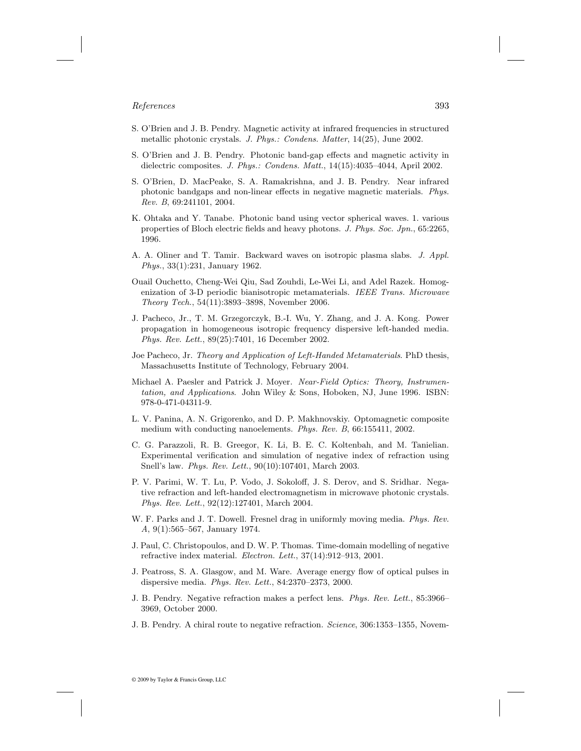- S. O'Brien and J. B. Pendry. Magnetic activity at infrared frequencies in structured metallic photonic crystals. J. Phys.: Condens. Matter, 14(25), June 2002.
- S. O'Brien and J. B. Pendry. Photonic band-gap effects and magnetic activity in dielectric composites. J. Phys.: Condens. Matt., 14(15):4035–4044, April 2002.
- S. O'Brien, D. MacPeake, S. A. Ramakrishna, and J. B. Pendry. Near infrared photonic bandgaps and non-linear effects in negative magnetic materials. Phys. Rev. B, 69:241101, 2004.
- K. Ohtaka and Y. Tanabe. Photonic band using vector spherical waves. 1. various properties of Bloch electric fields and heavy photons. J. Phys. Soc. Jpn., 65:2265, 1996.
- A. A. Oliner and T. Tamir. Backward waves on isotropic plasma slabs. J. Appl. Phys., 33(1):231, January 1962.
- Ouail Ouchetto, Cheng-Wei Qiu, Sad Zouhdi, Le-Wei Li, and Adel Razek. Homogenization of 3-D periodic bianisotropic metamaterials. IEEE Trans. Microwave Theory Tech., 54(11):3893–3898, November 2006.
- J. Pacheco, Jr., T. M. Grzegorczyk, B.-I. Wu, Y. Zhang, and J. A. Kong. Power propagation in homogeneous isotropic frequency dispersive left-handed media. Phys. Rev. Lett., 89(25):7401, 16 December 2002.
- Joe Pacheco, Jr. Theory and Application of Left-Handed Metamaterials. PhD thesis, Massachusetts Institute of Technology, February 2004.
- Michael A. Paesler and Patrick J. Moyer. Near-Field Optics: Theory, Instrumentation, and Applications. John Wiley & Sons, Hoboken, NJ, June 1996. ISBN: 978-0-471-04311-9.
- L. V. Panina, A. N. Grigorenko, and D. P. Makhnovskiy. Optomagnetic composite medium with conducting nanoelements. Phys. Rev. B, 66:155411, 2002.
- C. G. Parazzoli, R. B. Greegor, K. Li, B. E. C. Koltenbah, and M. Tanielian. Experimental verification and simulation of negative index of refraction using Snell's law. Phys. Rev. Lett., 90(10):107401, March 2003.
- P. V. Parimi, W. T. Lu, P. Vodo, J. Sokoloff, J. S. Derov, and S. Sridhar. Negative refraction and left-handed electromagnetism in microwave photonic crystals. Phys. Rev. Lett., 92(12):127401, March 2004.
- W. F. Parks and J. T. Dowell. Fresnel drag in uniformly moving media. *Phys. Rev.* A, 9(1):565–567, January 1974.
- J. Paul, C. Christopoulos, and D. W. P. Thomas. Time-domain modelling of negative refractive index material. Electron. Lett., 37(14):912–913, 2001.
- J. Peatross, S. A. Glasgow, and M. Ware. Average energy flow of optical pulses in dispersive media. Phys. Rev. Lett., 84:2370–2373, 2000.
- J. B. Pendry. Negative refraction makes a perfect lens. Phys. Rev. Lett., 85:3966– 3969, October 2000.
- J. B. Pendry. A chiral route to negative refraction. Science, 306:1353–1355, Novem-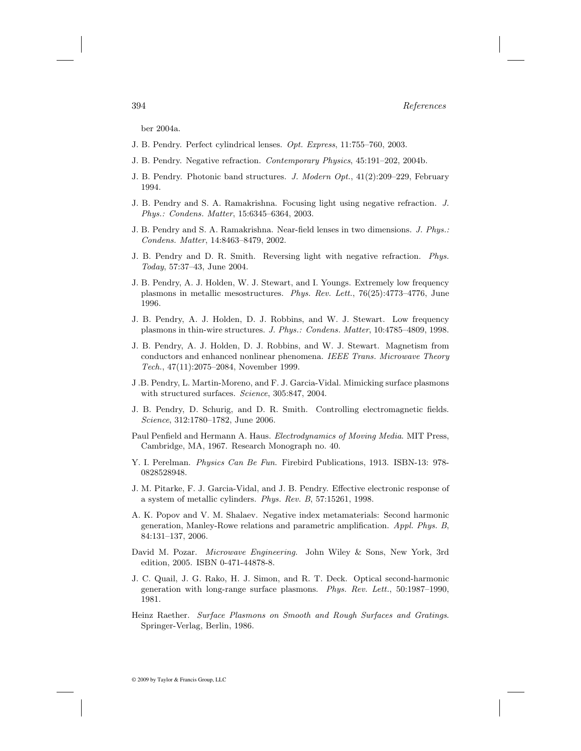ber 2004a.

- J. B. Pendry. Perfect cylindrical lenses. Opt. Express, 11:755–760, 2003.
- J. B. Pendry. Negative refraction. Contemporary Physics, 45:191–202, 2004b.
- J. B. Pendry. Photonic band structures. J. Modern Opt., 41(2):209–229, February 1994.
- J. B. Pendry and S. A. Ramakrishna. Focusing light using negative refraction. J. Phys.: Condens. Matter, 15:6345–6364, 2003.
- J. B. Pendry and S. A. Ramakrishna. Near-field lenses in two dimensions. J. Phys.: Condens. Matter, 14:8463–8479, 2002.
- J. B. Pendry and D. R. Smith. Reversing light with negative refraction. Phys. Today, 57:37–43, June 2004.
- J. B. Pendry, A. J. Holden, W. J. Stewart, and I. Youngs. Extremely low frequency plasmons in metallic mesostructures. Phys. Rev. Lett., 76(25):4773–4776, June 1996.
- J. B. Pendry, A. J. Holden, D. J. Robbins, and W. J. Stewart. Low frequency plasmons in thin-wire structures. J. Phys.: Condens. Matter, 10:4785–4809, 1998.
- J. B. Pendry, A. J. Holden, D. J. Robbins, and W. J. Stewart. Magnetism from conductors and enhanced nonlinear phenomena. IEEE Trans. Microwave Theory Tech., 47(11):2075–2084, November 1999.
- J .B. Pendry, L. Martin-Moreno, and F. J. Garcia-Vidal. Mimicking surface plasmons with structured surfaces. Science, 305:847, 2004.
- J. B. Pendry, D. Schurig, and D. R. Smith. Controlling electromagnetic fields. Science, 312:1780–1782, June 2006.
- Paul Penfield and Hermann A. Haus. Electrodynamics of Moving Media. MIT Press, Cambridge, MA, 1967. Research Monograph no. 40.
- Y. I. Perelman. Physics Can Be Fun. Firebird Publications, 1913. ISBN-13: 978- 0828528948.
- J. M. Pitarke, F. J. Garcia-Vidal, and J. B. Pendry. Effective electronic response of a system of metallic cylinders. Phys. Rev. B, 57:15261, 1998.
- A. K. Popov and V. M. Shalaev. Negative index metamaterials: Second harmonic generation, Manley-Rowe relations and parametric amplification. Appl. Phys. B, 84:131–137, 2006.
- David M. Pozar. Microwave Engineering. John Wiley & Sons, New York, 3rd edition, 2005. ISBN 0-471-44878-8.
- J. C. Quail, J. G. Rako, H. J. Simon, and R. T. Deck. Optical second-harmonic generation with long-range surface plasmons. Phys. Rev. Lett., 50:1987–1990, 1981.
- Heinz Raether. Surface Plasmons on Smooth and Rough Surfaces and Gratings. Springer-Verlag, Berlin, 1986.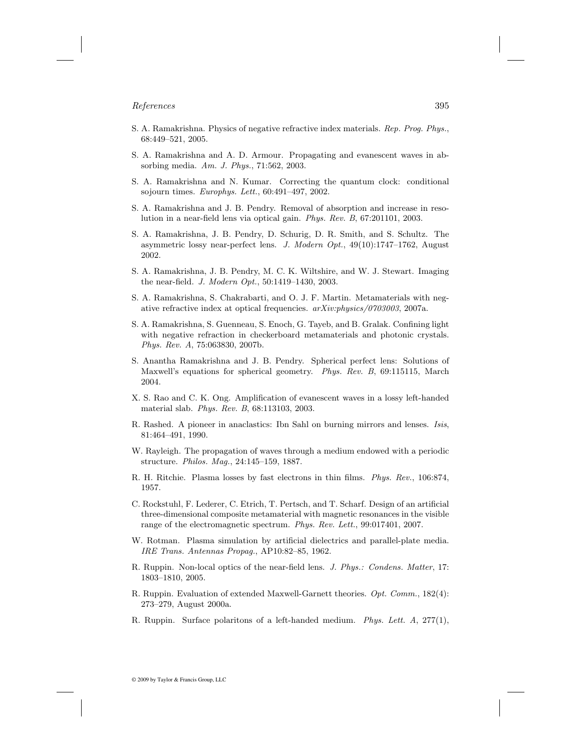- S. A. Ramakrishna. Physics of negative refractive index materials. Rep. Prog. Phys., 68:449–521, 2005.
- S. A. Ramakrishna and A. D. Armour. Propagating and evanescent waves in absorbing media. Am. J. Phys., 71:562, 2003.
- S. A. Ramakrishna and N. Kumar. Correcting the quantum clock: conditional sojourn times. Europhys. Lett., 60:491–497, 2002.
- S. A. Ramakrishna and J. B. Pendry. Removal of absorption and increase in resolution in a near-field lens via optical gain. Phys. Rev. B, 67:201101, 2003.
- S. A. Ramakrishna, J. B. Pendry, D. Schurig, D. R. Smith, and S. Schultz. The asymmetric lossy near-perfect lens. J. Modern Opt., 49(10):1747–1762, August 2002.
- S. A. Ramakrishna, J. B. Pendry, M. C. K. Wiltshire, and W. J. Stewart. Imaging the near-field. J. Modern Opt., 50:1419–1430, 2003.
- S. A. Ramakrishna, S. Chakrabarti, and O. J. F. Martin. Metamaterials with negative refractive index at optical frequencies.  $arXiv:physics/0703003$ , 2007a.
- S. A. Ramakrishna, S. Guenneau, S. Enoch, G. Tayeb, and B. Gralak. Confining light with negative refraction in checkerboard metamaterials and photonic crystals. Phys. Rev. A, 75:063830, 2007b.
- S. Anantha Ramakrishna and J. B. Pendry. Spherical perfect lens: Solutions of Maxwell's equations for spherical geometry. Phys. Rev. B, 69:115115, March 2004.
- X. S. Rao and C. K. Ong. Amplification of evanescent waves in a lossy left-handed material slab. Phys. Rev. B, 68:113103, 2003.
- R. Rashed. A pioneer in anaclastics: Ibn Sahl on burning mirrors and lenses. Isis, 81:464–491, 1990.
- W. Rayleigh. The propagation of waves through a medium endowed with a periodic structure. Philos. Mag., 24:145–159, 1887.
- R. H. Ritchie. Plasma losses by fast electrons in thin films. Phys. Rev., 106:874, 1957.
- C. Rockstuhl, F. Lederer, C. Etrich, T. Pertsch, and T. Scharf. Design of an artificial three-dimensional composite metamaterial with magnetic resonances in the visible range of the electromagnetic spectrum. Phys. Rev. Lett., 99:017401, 2007.
- W. Rotman. Plasma simulation by artificial dielectrics and parallel-plate media. IRE Trans. Antennas Propag., AP10:82–85, 1962.
- R. Ruppin. Non-local optics of the near-field lens. J. Phys.: Condens. Matter, 17: 1803–1810, 2005.
- R. Ruppin. Evaluation of extended Maxwell-Garnett theories. Opt. Comm., 182(4): 273–279, August 2000a.
- R. Ruppin. Surface polaritons of a left-handed medium. Phys. Lett. A, 277(1),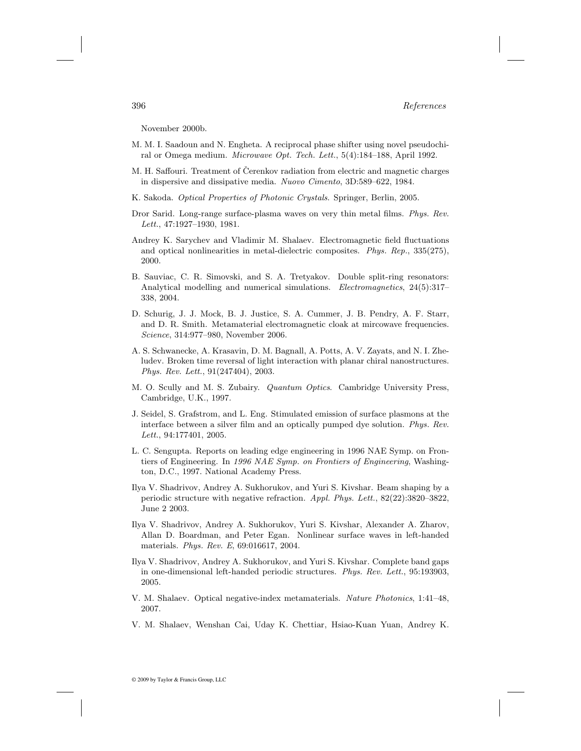November 2000b.

- M. M. I. Saadoun and N. Engheta. A reciprocal phase shifter using novel pseudochiral or Omega medium. Microwave Opt. Tech. Lett., 5(4):184–188, April 1992.
- M. H. Saffouri. Treatment of Čerenkov radiation from electric and magnetic charges in dispersive and dissipative media. Nuovo Cimento, 3D:589–622, 1984.
- K. Sakoda. Optical Properties of Photonic Crystals. Springer, Berlin, 2005.
- Dror Sarid. Long-range surface-plasma waves on very thin metal films. Phys. Rev. Lett., 47:1927–1930, 1981.
- Andrey K. Sarychev and Vladimir M. Shalaev. Electromagnetic field fluctuations and optical nonlinearities in metal-dielectric composites. Phys. Rep., 335(275), 2000.
- B. Sauviac, C. R. Simovski, and S. A. Tretyakov. Double split-ring resonators: Analytical modelling and numerical simulations. *Electromagnetics*, 24(5):317– 338, 2004.
- D. Schurig, J. J. Mock, B. J. Justice, S. A. Cummer, J. B. Pendry, A. F. Starr, and D. R. Smith. Metamaterial electromagnetic cloak at mircowave frequencies. Science, 314:977–980, November 2006.
- A. S. Schwanecke, A. Krasavin, D. M. Bagnall, A. Potts, A. V. Zayats, and N. I. Zheludev. Broken time reversal of light interaction with planar chiral nanostructures. Phys. Rev. Lett., 91(247404), 2003.
- M. O. Scully and M. S. Zubairy. Quantum Optics. Cambridge University Press, Cambridge, U.K., 1997.
- J. Seidel, S. Grafstrom, and L. Eng. Stimulated emission of surface plasmons at the interface between a silver film and an optically pumped dye solution. Phys. Rev. Lett., 94:177401, 2005.
- L. C. Sengupta. Reports on leading edge engineering in 1996 NAE Symp. on Frontiers of Engineering. In 1996 NAE Symp. on Frontiers of Engineering, Washington, D.C., 1997. National Academy Press.
- Ilya V. Shadrivov, Andrey A. Sukhorukov, and Yuri S. Kivshar. Beam shaping by a periodic structure with negative refraction. Appl. Phys. Lett., 82(22):3820–3822, June 2 2003.
- Ilya V. Shadrivov, Andrey A. Sukhorukov, Yuri S. Kivshar, Alexander A. Zharov, Allan D. Boardman, and Peter Egan. Nonlinear surface waves in left-handed materials. Phys. Rev. E, 69:016617, 2004.
- Ilya V. Shadrivov, Andrey A. Sukhorukov, and Yuri S. Kivshar. Complete band gaps in one-dimensional left-handed periodic structures. Phys. Rev. Lett., 95:193903, 2005.
- V. M. Shalaev. Optical negative-index metamaterials. Nature Photonics, 1:41–48, 2007.
- V. M. Shalaev, Wenshan Cai, Uday K. Chettiar, Hsiao-Kuan Yuan, Andrey K.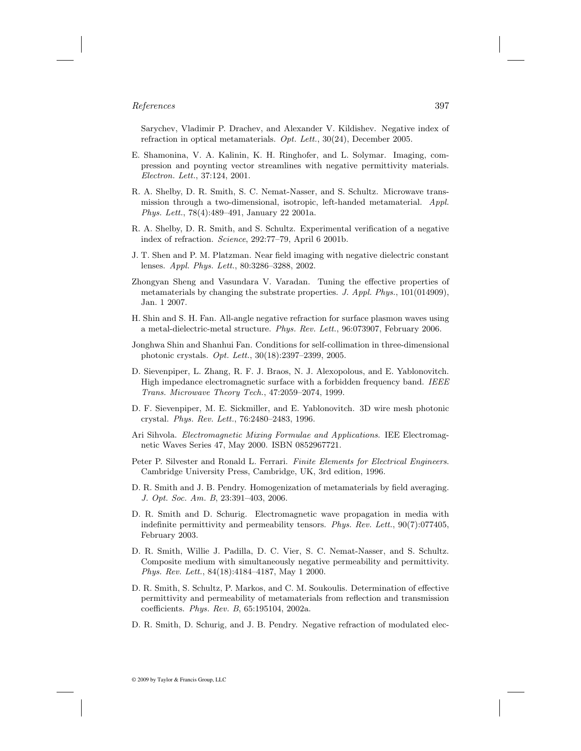Sarychev, Vladimir P. Drachev, and Alexander V. Kildishev. Negative index of refraction in optical metamaterials. Opt. Lett., 30(24), December 2005.

- E. Shamonina, V. A. Kalinin, K. H. Ringhofer, and L. Solymar. Imaging, compression and poynting vector streamlines with negative permittivity materials. Electron. Lett., 37:124, 2001.
- R. A. Shelby, D. R. Smith, S. C. Nemat-Nasser, and S. Schultz. Microwave transmission through a two-dimensional, isotropic, left-handed metamaterial. Appl. Phys. Lett., 78(4):489–491, January 22 2001a.
- R. A. Shelby, D. R. Smith, and S. Schultz. Experimental verification of a negative index of refraction. Science, 292:77–79, April 6 2001b.
- J. T. Shen and P. M. Platzman. Near field imaging with negative dielectric constant lenses. Appl. Phys. Lett., 80:3286–3288, 2002.
- Zhongyan Sheng and Vasundara V. Varadan. Tuning the effective properties of metamaterials by changing the substrate properties. J. Appl. Phys., 101(014909), Jan. 1 2007.
- H. Shin and S. H. Fan. All-angle negative refraction for surface plasmon waves using a metal-dielectric-metal structure. Phys. Rev. Lett., 96:073907, February 2006.
- Jonghwa Shin and Shanhui Fan. Conditions for self-collimation in three-dimensional photonic crystals. Opt. Lett., 30(18):2397–2399, 2005.
- D. Sievenpiper, L. Zhang, R. F. J. Braos, N. J. Alexopolous, and E. Yablonovitch. High impedance electromagnetic surface with a forbidden frequency band. IEEE Trans. Microwave Theory Tech., 47:2059–2074, 1999.
- D. F. Sievenpiper, M. E. Sickmiller, and E. Yablonovitch. 3D wire mesh photonic crystal. Phys. Rev. Lett., 76:2480–2483, 1996.
- Ari Sihvola. Electromagnetic Mixing Formulae and Applications. IEE Electromagnetic Waves Series 47, May 2000. ISBN 0852967721.
- Peter P. Silvester and Ronald L. Ferrari. Finite Elements for Electrical Engineers. Cambridge University Press, Cambridge, UK, 3rd edition, 1996.
- D. R. Smith and J. B. Pendry. Homogenization of metamaterials by field averaging. J. Opt. Soc. Am. B, 23:391–403, 2006.
- D. R. Smith and D. Schurig. Electromagnetic wave propagation in media with indefinite permittivity and permeability tensors. Phys. Rev. Lett., 90(7):077405, February 2003.
- D. R. Smith, Willie J. Padilla, D. C. Vier, S. C. Nemat-Nasser, and S. Schultz. Composite medium with simultaneously negative permeability and permittivity. Phys. Rev. Lett., 84(18):4184–4187, May 1 2000.
- D. R. Smith, S. Schultz, P. Markos, and C. M. Soukoulis. Determination of effective permittivity and permeability of metamaterials from reflection and transmission coefficients. Phys. Rev. B, 65:195104, 2002a.
- D. R. Smith, D. Schurig, and J. B. Pendry. Negative refraction of modulated elec-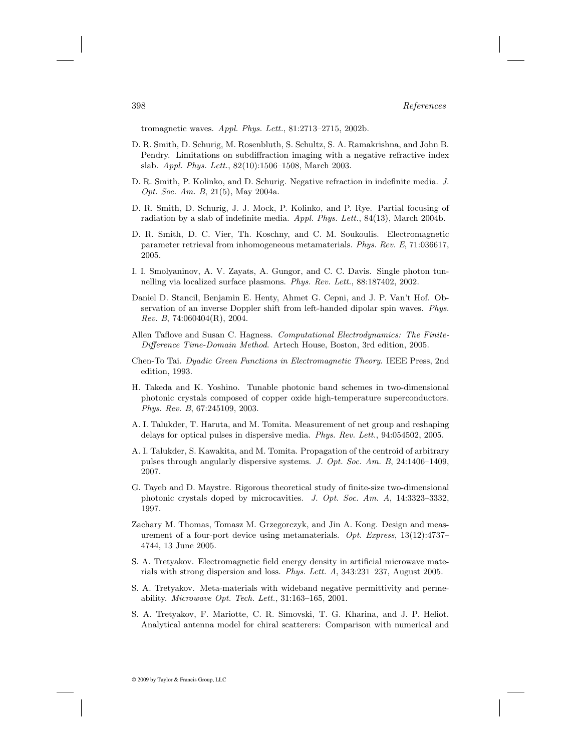tromagnetic waves. Appl. Phys. Lett., 81:2713–2715, 2002b.

- D. R. Smith, D. Schurig, M. Rosenbluth, S. Schultz, S. A. Ramakrishna, and John B. Pendry. Limitations on subdiffraction imaging with a negative refractive index slab. Appl. Phys. Lett., 82(10):1506–1508, March 2003.
- D. R. Smith, P. Kolinko, and D. Schurig. Negative refraction in indefinite media. J. Opt. Soc. Am. B, 21(5), May 2004a.
- D. R. Smith, D. Schurig, J. J. Mock, P. Kolinko, and P. Rye. Partial focusing of radiation by a slab of indefinite media. Appl. Phys. Lett., 84(13), March 2004b.
- D. R. Smith, D. C. Vier, Th. Koschny, and C. M. Soukoulis. Electromagnetic parameter retrieval from inhomogeneous metamaterials. Phys. Rev. E, 71:036617, 2005.
- I. I. Smolyaninov, A. V. Zayats, A. Gungor, and C. C. Davis. Single photon tunnelling via localized surface plasmons. Phys. Rev. Lett., 88:187402, 2002.
- Daniel D. Stancil, Benjamin E. Henty, Ahmet G. Cepni, and J. P. Van't Hof. Observation of an inverse Doppler shift from left-handed dipolar spin waves. Phys. Rev. B, 74:060404(R), 2004.
- Allen Taflove and Susan C. Hagness. Computational Electrodynamics: The Finite-Difference Time-Domain Method. Artech House, Boston, 3rd edition, 2005.
- Chen-To Tai. Dyadic Green Functions in Electromagnetic Theory. IEEE Press, 2nd edition, 1993.
- H. Takeda and K. Yoshino. Tunable photonic band schemes in two-dimensional photonic crystals composed of copper oxide high-temperature superconductors. Phys. Rev. B, 67:245109, 2003.
- A. I. Talukder, T. Haruta, and M. Tomita. Measurement of net group and reshaping delays for optical pulses in dispersive media. Phys. Rev. Lett., 94:054502, 2005.
- A. I. Talukder, S. Kawakita, and M. Tomita. Propagation of the centroid of arbitrary pulses through angularly dispersive systems. J. Opt. Soc. Am. B, 24:1406–1409, 2007.
- G. Tayeb and D. Maystre. Rigorous theoretical study of finite-size two-dimensional photonic crystals doped by microcavities. J. Opt. Soc. Am. A, 14:3323–3332, 1997.
- Zachary M. Thomas, Tomasz M. Grzegorczyk, and Jin A. Kong. Design and measurement of a four-port device using metamaterials. Opt. Express, 13(12):4737– 4744, 13 June 2005.
- S. A. Tretyakov. Electromagnetic field energy density in artificial microwave materials with strong dispersion and loss. Phys. Lett. A, 343:231–237, August 2005.
- S. A. Tretyakov. Meta-materials with wideband negative permittivity and permeability. Microwave Opt. Tech. Lett., 31:163–165, 2001.
- S. A. Tretyakov, F. Mariotte, C. R. Simovski, T. G. Kharina, and J. P. Heliot. Analytical antenna model for chiral scatterers: Comparison with numerical and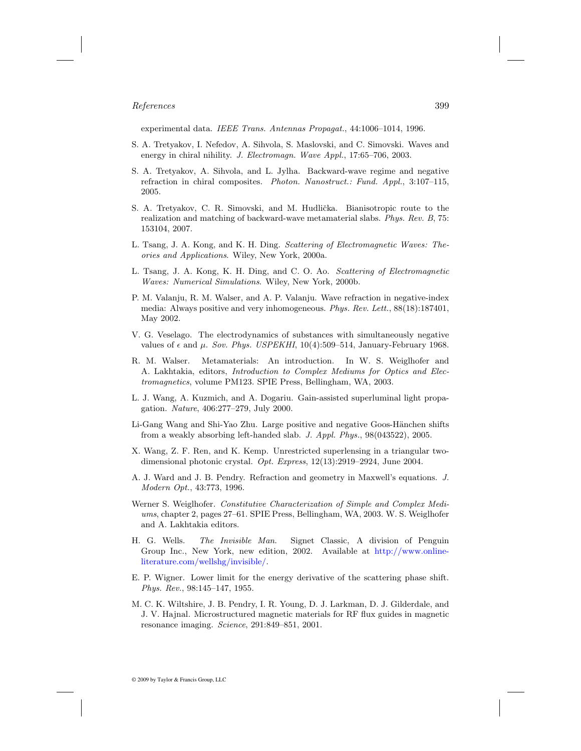experimental data. IEEE Trans. Antennas Propagat., 44:1006–1014, 1996.

- S. A. Tretyakov, I. Nefedov, A. Sihvola, S. Maslovski, and C. Simovski. Waves and energy in chiral nihility. J. Electromagn. Wave Appl., 17:65-706, 2003.
- S. A. Tretyakov, A. Sihvola, and L. Jylha. Backward-wave regime and negative refraction in chiral composites. Photon. Nanostruct.: Fund. Appl., 3:107–115, 2005.
- S. A. Tretyakov, C. R. Simovski, and M. Hudlička. Bianisotropic route to the realization and matching of backward-wave metamaterial slabs. Phys. Rev. B, 75: 153104, 2007.
- L. Tsang, J. A. Kong, and K. H. Ding. Scattering of Electromagnetic Waves: Theories and Applications. Wiley, New York, 2000a.
- L. Tsang, J. A. Kong, K. H. Ding, and C. O. Ao. Scattering of Electromagnetic Waves: Numerical Simulations. Wiley, New York, 2000b.
- P. M. Valanju, R. M. Walser, and A. P. Valanju. Wave refraction in negative-index media: Always positive and very inhomogeneous. Phys. Rev. Lett., 88(18):187401, May 2002.
- V. G. Veselago. The electrodynamics of substances with simultaneously negative values of  $\epsilon$  and  $\mu$ . Sov. Phys. USPEKHI, 10(4):509–514, January-February 1968.
- R. M. Walser. Metamaterials: An introduction. In W. S. Weiglhofer and A. Lakhtakia, editors, Introduction to Complex Mediums for Optics and Electromagnetics, volume PM123. SPIE Press, Bellingham, WA, 2003.
- L. J. Wang, A. Kuzmich, and A. Dogariu. Gain-assisted superluminal light propagation. Nature, 406:277–279, July 2000.
- Li-Gang Wang and Shi-Yao Zhu. Large positive and negative Goos-Hänchen shifts from a weakly absorbing left-handed slab. J. Appl. Phys., 98(043522), 2005.
- X. Wang, Z. F. Ren, and K. Kemp. Unrestricted superlensing in a triangular twodimensional photonic crystal. Opt. Express, 12(13):2919–2924, June 2004.
- A. J. Ward and J. B. Pendry. Refraction and geometry in Maxwell's equations. J. Modern Opt., 43:773, 1996.
- Werner S. Weiglhofer. Constitutive Characterization of Simple and Complex Mediums, chapter 2, pages 27–61. SPIE Press, Bellingham, WA, 2003. W. S. Weiglhofer and A. Lakhtakia editors.
- H. G. Wells. The Invisible Man. Signet Classic, A division of Penguin Group Inc., New York, new edition, 2002. Available at [http://www.online](http://www.onlineliterature.com)[literature.com/wellshg/invisible/](http://www.onlineliterature.com).
- E. P. Wigner. Lower limit for the energy derivative of the scattering phase shift. Phys. Rev., 98:145–147, 1955.
- M. C. K. Wiltshire, J. B. Pendry, I. R. Young, D. J. Larkman, D. J. Gilderdale, and J. V. Hajnal. Microstructured magnetic materials for RF flux guides in magnetic resonance imaging. Science, 291:849–851, 2001.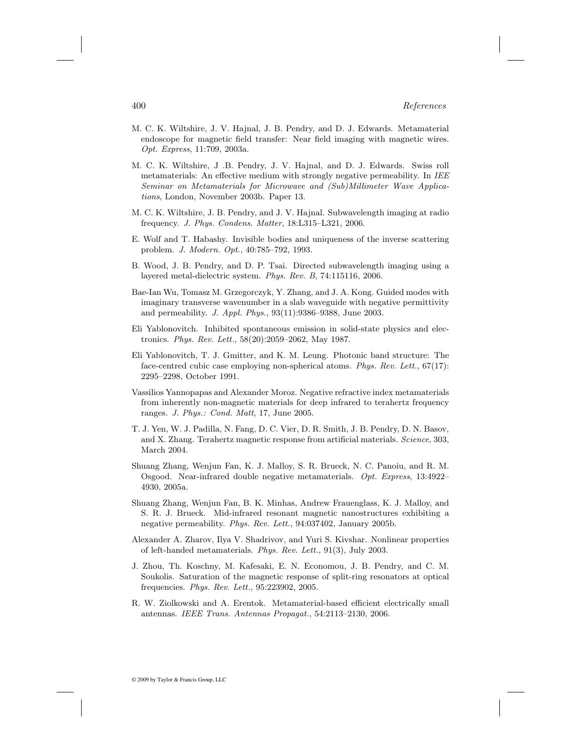- M. C. K. Wiltshire, J. V. Hajnal, J. B. Pendry, and D. J. Edwards. Metamaterial endoscope for magnetic field transfer: Near field imaging with magnetic wires. Opt. Express, 11:709, 2003a.
- M. C. K. Wiltshire, J .B. Pendry, J. V. Hajnal, and D. J. Edwards. Swiss roll metamaterials: An effective medium with strongly negative permeability. In IEE Seminar on Metamaterials for Microwave and (Sub)Millimeter Wave Applications, London, November 2003b. Paper 13.
- M. C. K. Wiltshire, J. B. Pendry, and J. V. Hajnal. Subwavelength imaging at radio frequency. J. Phys. Condens. Matter, 18:L315–L321, 2006.
- E. Wolf and T. Habashy. Invisible bodies and uniqueness of the inverse scattering problem. J. Modern. Opt., 40:785–792, 1993.
- B. Wood, J. B. Pendry, and D. P. Tsai. Directed subwavelength imaging using a layered metal-dielectric system. Phys. Rev. B, 74:115116, 2006.
- Bae-Ian Wu, Tomasz M. Grzegorczyk, Y. Zhang, and J. A. Kong. Guided modes with imaginary transverse wavenumber in a slab waveguide with negative permittivity and permeability. J. Appl. Phys., 93(11):9386–9388, June 2003.
- Eli Yablonovitch. Inhibited spontaneous emission in solid-state physics and electronics. Phys. Rev. Lett., 58(20):2059–2062, May 1987.
- Eli Yablonovitch, T. J. Gmitter, and K. M. Leung. Photonic band structure: The face-centred cubic case employing non-spherical atoms. Phys. Rev. Lett., 67(17): 2295–2298, October 1991.
- Vassilios Yannopapas and Alexander Moroz. Negative refractive index metamaterials from inherently non-magnetic materials for deep infrared to terahertz frequency ranges. J. Phys.: Cond. Matt, 17, June 2005.
- T. J. Yen, W. J. Padilla, N. Fang, D. C. Vier, D. R. Smith, J. B. Pendry, D. N. Basov, and X. Zhang. Terahertz magnetic response from artificial materials. Science, 303, March 2004.
- Shuang Zhang, Wenjun Fan, K. J. Malloy, S. R. Brueck, N. C. Panoiu, and R. M. Osgood. Near-infrared double negative metamaterials. Opt. Express, 13:4922– 4930, 2005a.
- Shuang Zhang, Wenjun Fan, B. K. Minhas, Andrew Frauenglass, K. J. Malloy, and S. R. J. Brueck. Mid-infrared resonant magnetic nanostructures exhibiting a negative permeability. Phys. Rev. Lett., 94:037402, January 2005b.
- Alexander A. Zharov, Ilya V. Shadrivov, and Yuri S. Kivshar. Nonlinear properties of left-handed metamaterials. Phys. Rev. Lett., 91(3), July 2003.
- J. Zhou, Th. Koschny, M. Kafesaki, E. N. Economou, J. B. Pendry, and C. M. Soukolis. Saturation of the magnetic response of split-ring resonators at optical frequencies. Phys. Rev. Lett., 95:223902, 2005.
- R. W. Ziolkowski and A. Erentok. Metamaterial-based efficient electrically small antennas. IEEE Trans. Antennas Propagat., 54:2113–2130, 2006.